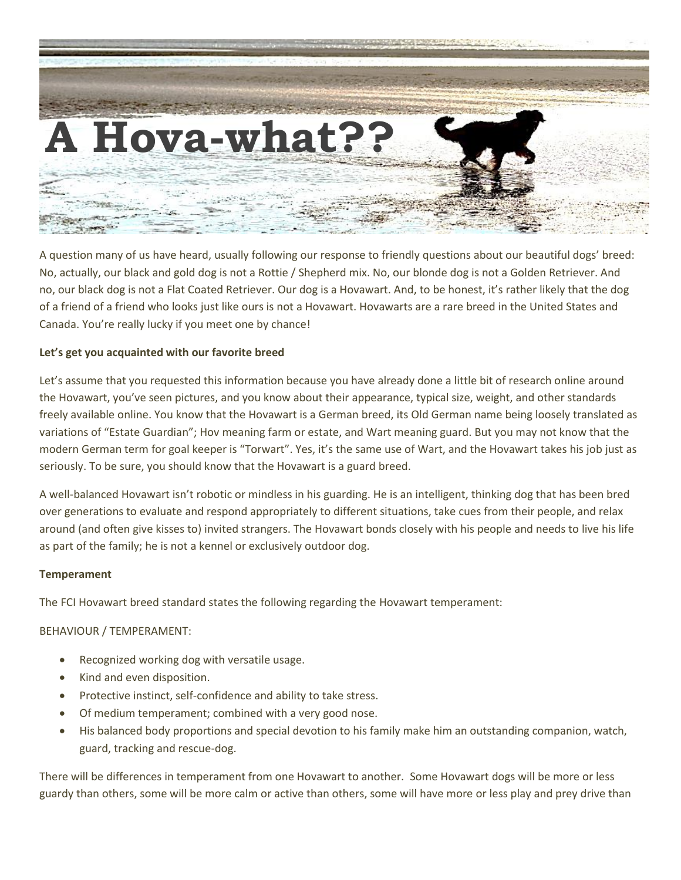

A question many of us have heard, usually following our response to friendly questions about our beautiful dogs' breed: No, actually, our black and gold dog is not a Rottie / Shepherd mix. No, our blonde dog is not a Golden Retriever. And no, our black dog is not a Flat Coated Retriever. Our dog is a Hovawart. And, to be honest, it's rather likely that the dog of a friend of a friend who looks just like ours is not a Hovawart. Hovawarts are a rare breed in the United States and Canada. You're really lucky if you meet one by chance!

## **Let's get you acquainted with our favorite breed**

Let's assume that you requested this information because you have already done a little bit of research online around the Hovawart, you've seen pictures, and you know about their appearance, typical size, weight, and other standards freely available online. You know that the Hovawart is a German breed, its Old German name being loosely translated as variations of "Estate Guardian"; Hov meaning farm or estate, and Wart meaning guard. But you may not know that the modern German term for goal keeper is "Torwart". Yes, it's the same use of Wart, and the Hovawart takes his job just as seriously. To be sure, you should know that the Hovawart is a guard breed.

A well-balanced Hovawart isn't robotic or mindless in his guarding. He is an intelligent, thinking dog that has been bred over generations to evaluate and respond appropriately to different situations, take cues from their people, and relax around (and often give kisses to) invited strangers. The Hovawart bonds closely with his people and needs to live his life as part of the family; he is not a kennel or exclusively outdoor dog.

### **Temperament**

The FCI Hovawart breed standard states the following regarding the Hovawart temperament:

BEHAVIOUR / TEMPERAMENT:

- Recognized working dog with versatile usage.
- Kind and even disposition.
- Protective instinct, self-confidence and ability to take stress.
- Of medium temperament; combined with a very good nose.
- His balanced body proportions and special devotion to his family make him an outstanding companion, watch, guard, tracking and rescue-dog.

There will be differences in temperament from one Hovawart to another. Some Hovawart dogs will be more or less guardy than others, some will be more calm or active than others, some will have more or less play and prey drive than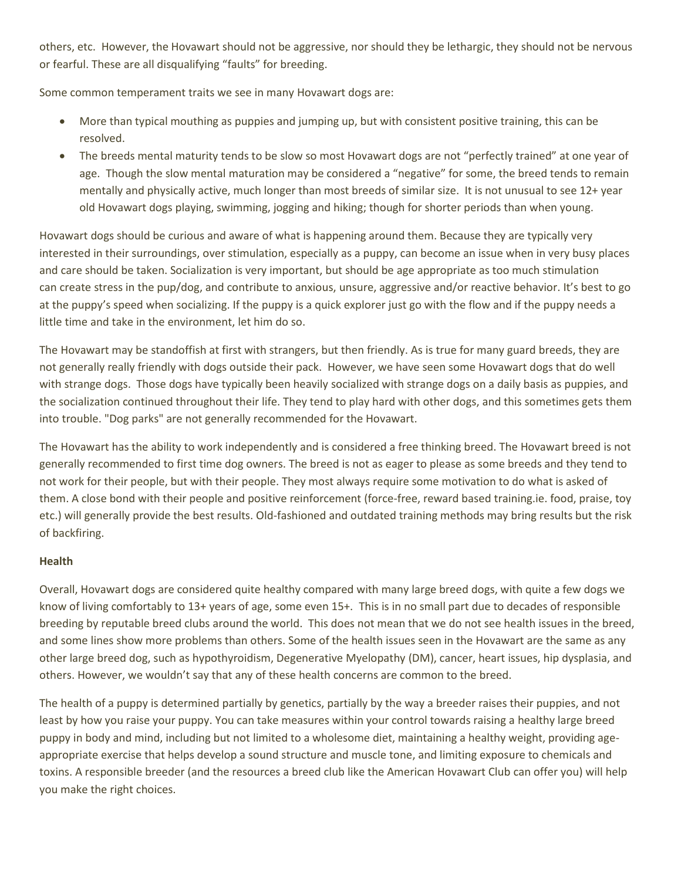others, etc. However, the Hovawart should not be aggressive, nor should they be lethargic, they should not be nervous or fearful. These are all disqualifying "faults" for breeding.

Some common temperament traits we see in many Hovawart dogs are:

- More than typical mouthing as puppies and jumping up, but with consistent positive training, this can be resolved.
- The breeds mental maturity tends to be slow so most Hovawart dogs are not "perfectly trained" at one year of age. Though the slow mental maturation may be considered a "negative" for some, the breed tends to remain mentally and physically active, much longer than most breeds of similar size. It is not unusual to see 12+ year old Hovawart dogs playing, swimming, jogging and hiking; though for shorter periods than when young.

Hovawart dogs should be curious and aware of what is happening around them. Because they are typically very interested in their surroundings, over stimulation, especially as a puppy, can become an issue when in very busy places and care should be taken. Socialization is very important, but should be age appropriate as too much stimulation can create stress in the pup/dog, and contribute to anxious, unsure, aggressive and/or reactive behavior. It's best to go at the puppy's speed when socializing. If the puppy is a quick explorer just go with the flow and if the puppy needs a little time and take in the environment, let him do so.

The Hovawart may be standoffish at first with strangers, but then friendly. As is true for many guard breeds, they are not generally really friendly with dogs outside their pack. However, we have seen some Hovawart dogs that do well with strange dogs. Those dogs have typically been heavily socialized with strange dogs on a daily basis as puppies, and the socialization continued throughout their life. They tend to play hard with other dogs, and this sometimes gets them into trouble. "Dog parks" are not generally recommended for the Hovawart.

The Hovawart has the ability to work independently and is considered a free thinking breed. The Hovawart breed is not generally recommended to first time dog owners. The breed is not as eager to please as some breeds and they tend to not work for their people, but with their people. They most always require some motivation to do what is asked of them. A close bond with their people and positive reinforcement (force-free, reward based training.ie. food, praise, toy etc.) will generally provide the best results. Old-fashioned and outdated training methods may bring results but the risk of backfiring.

# **Health**

Overall, Hovawart dogs are considered quite healthy compared with many large breed dogs, with quite a few dogs we know of living comfortably to 13+ years of age, some even 15+. This is in no small part due to decades of responsible breeding by reputable breed clubs around the world. This does not mean that we do not see health issues in the breed, and some lines show more problems than others. Some of the health issues seen in the Hovawart are the same as any other large breed dog, such as hypothyroidism, Degenerative Myelopathy (DM), cancer, heart issues, hip dysplasia, and others. However, we wouldn't say that any of these health concerns are common to the breed.

The health of a puppy is determined partially by genetics, partially by the way a breeder raises their puppies, and not least by how you raise your puppy. You can take measures within your control towards raising a healthy large breed puppy in body and mind, including but not limited to a wholesome diet, maintaining a healthy weight, providing ageappropriate exercise that helps develop a sound structure and muscle tone, and limiting exposure to chemicals and toxins. A responsible breeder (and the resources a breed club like the American Hovawart Club can offer you) will help you make the right choices.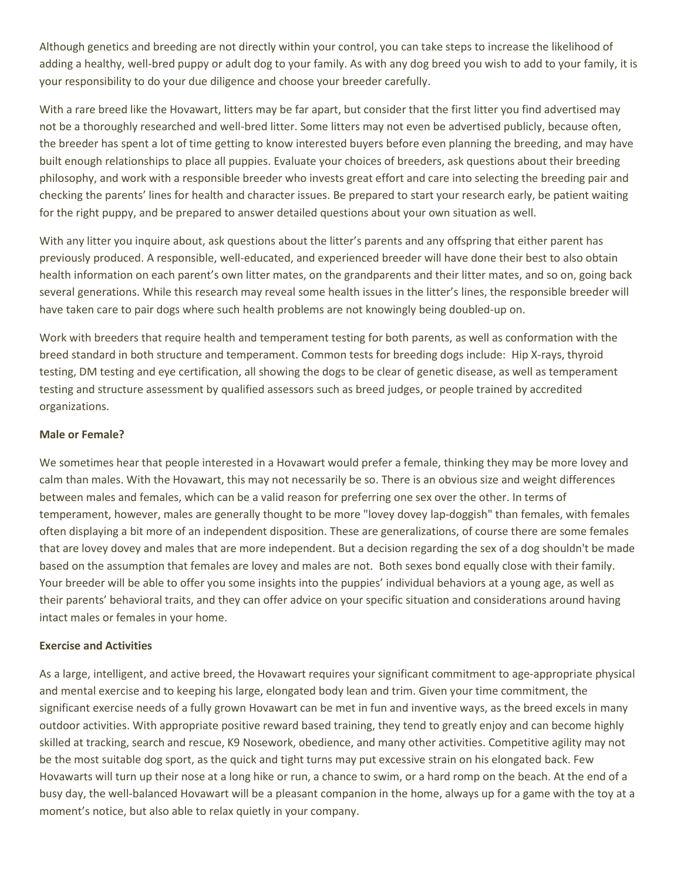Although genetics and breeding are not directly within your control, you can take steps to increase the likelihood of adding a healthy, well-bred puppy or adult dog to your family. As with any dog breed you wish to add to your family, it is your responsibility to do your due diligence and choose your breeder carefully.

With a rare breed like the Hovawart, litters may be far apart, but consider that the first litter you find advertised may not be a thoroughly researched and well-bred litter. Some litters may not even be advertised publicly, because often, the breeder has spent a lot of time getting to know interested buyers before even planning the breeding, and may have built enough relationships to place all puppies. Evaluate your choices of breeders, ask questions about their breeding philosophy, and work with a responsible breeder who invests great effort and care into selecting the breeding pair and checking the parents' lines for health and character issues. Be prepared to start your research early, be patient waiting for the right puppy, and be prepared to answer detailed questions about your own situation as well.

With any litter you inquire about, ask questions about the litter's parents and any offspring that either parent has previously produced. A responsible, well-educated, and experienced breeder will have done their best to also obtain health information on each parent's own litter mates, on the grandparents and their litter mates, and so on, going back several generations. While this research may reveal some health issues in the litter's lines, the responsible breeder will have taken care to pair dogs where such health problems are not knowingly being doubled-up on.

Work with breeders that require health and temperament testing for both parents, as well as conformation with the breed standard in both structure and temperament. Common tests for breeding dogs include: Hip X-rays, thyroid testing, DM testing and eye certification, all showing the dogs to be clear of genetic disease, as well as temperament testing and structure assessment by qualified assessors such as breed judges, or people trained by accredited organizations.

### **Male or Female?**

We sometimes hear that people interested in a Hovawart would prefer a female, thinking they may be more lovey and calm than males. With the Hovawart, this may not necessarily be so. There is an obvious size and weight differences between males and females, which can be a valid reason for preferring one sex over the other. In terms of temperament, however, males are generally thought to be more "lovey dovey lap-doggish" than females, with females often displaying a bit more of an independent disposition. These are generalizations, of course there are some females that are lovey dovey and males that are more independent. But a decision regarding the sex of a dog shouldn't be made based on the assumption that females are lovey and males are not. Both sexes bond equally close with their family. Your breeder will be able to offer you some insights into the puppies' individual behaviors at a young age, as well as their parents' behavioral traits, and they can offer advice on your specific situation and considerations around having intact males or females in your home.

### **Exercise and Activities**

As a large, intelligent, and active breed, the Hovawart requires your significant commitment to age-appropriate physical and mental exercise and to keeping his large, elongated body lean and trim. Given your time commitment, the significant exercise needs of a fully grown Hovawart can be met in fun and inventive ways, as the breed excels in many outdoor activities. With appropriate positive reward based training, they tend to greatly enjoy and can become highly skilled at tracking, search and rescue, K9 Nosework, obedience, and many other activities. Competitive agility may not be the most suitable dog sport, as the quick and tight turns may put excessive strain on his elongated back. Few Hovawarts will turn up their nose at a long hike or run, a chance to swim, or a hard romp on the beach. At the end of a busy day, the well-balanced Hovawart will be a pleasant companion in the home, always up for a game with the toy at a moment's notice, but also able to relax quietly in your company.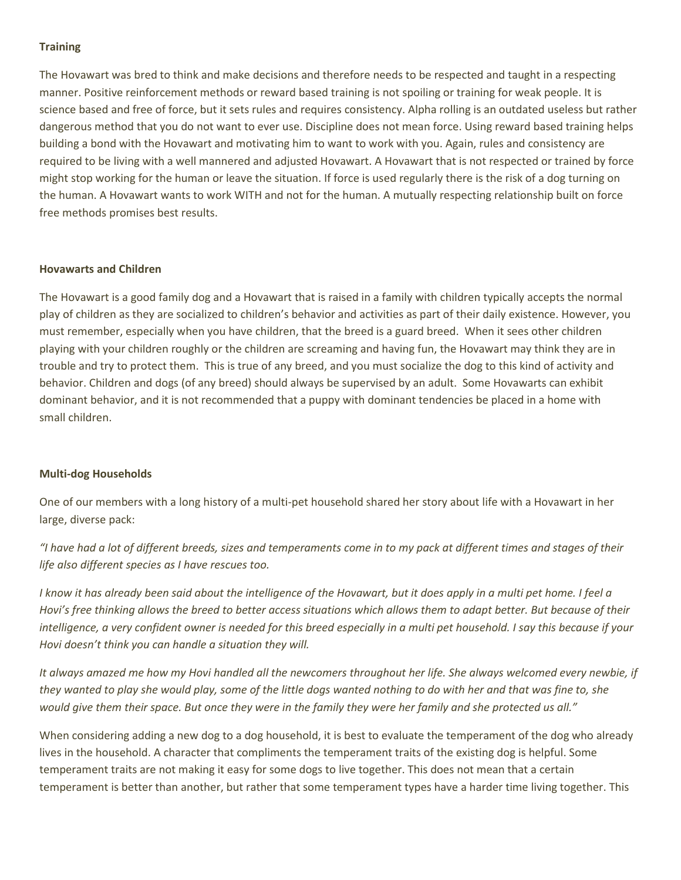### **Training**

The Hovawart was bred to think and make decisions and therefore needs to be respected and taught in a respecting manner. Positive reinforcement methods or reward based training is not spoiling or training for weak people. It is science based and free of force, but it sets rules and requires consistency. Alpha rolling is an outdated useless but rather dangerous method that you do not want to ever use. Discipline does not mean force. Using reward based training helps building a bond with the Hovawart and motivating him to want to work with you. Again, rules and consistency are required to be living with a well mannered and adjusted Hovawart. A Hovawart that is not respected or trained by force might stop working for the human or leave the situation. If force is used regularly there is the risk of a dog turning on the human. A Hovawart wants to work WITH and not for the human. A mutually respecting relationship built on force free methods promises best results.

### **Hovawarts and Children**

The Hovawart is a good family dog and a Hovawart that is raised in a family with children typically accepts the normal play of children as they are socialized to children's behavior and activities as part of their daily existence. However, you must remember, especially when you have children, that the breed is a guard breed. When it sees other children playing with your children roughly or the children are screaming and having fun, the Hovawart may think they are in trouble and try to protect them. This is true of any breed, and you must socialize the dog to this kind of activity and behavior. Children and dogs (of any breed) should always be supervised by an adult. Some Hovawarts can exhibit dominant behavior, and it is not recommended that a puppy with dominant tendencies be placed in a home with small children.

### **Multi-dog Households**

One of our members with a long history of a multi-pet household shared her story about life with a Hovawart in her large, diverse pack:

*"I have had a lot of different breeds, sizes and temperaments come in to my pack at different times and stages of their life also different species as I have rescues too.* 

*I know it has already been said about the intelligence of the Hovawart, but it does apply in a multi pet home. I feel a Hovi's free thinking allows the breed to better access situations which allows them to adapt better. But because of their intelligence, a very confident owner is needed for this breed especially in a multi pet household. I say this because if your Hovi doesn't think you can handle a situation they will.*

*It always amazed me how my Hovi handled all the newcomers throughout her life. She always welcomed every newbie, if they wanted to play she would play, some of the little dogs wanted nothing to do with her and that was fine to, she would give them their space. But once they were in the family they were her family and she protected us all."*

When considering adding a new dog to a dog household, it is best to evaluate the temperament of the dog who already lives in the household. A character that compliments the temperament traits of the existing dog is helpful. Some temperament traits are not making it easy for some dogs to live together. This does not mean that a certain temperament is better than another, but rather that some temperament types have a harder time living together. This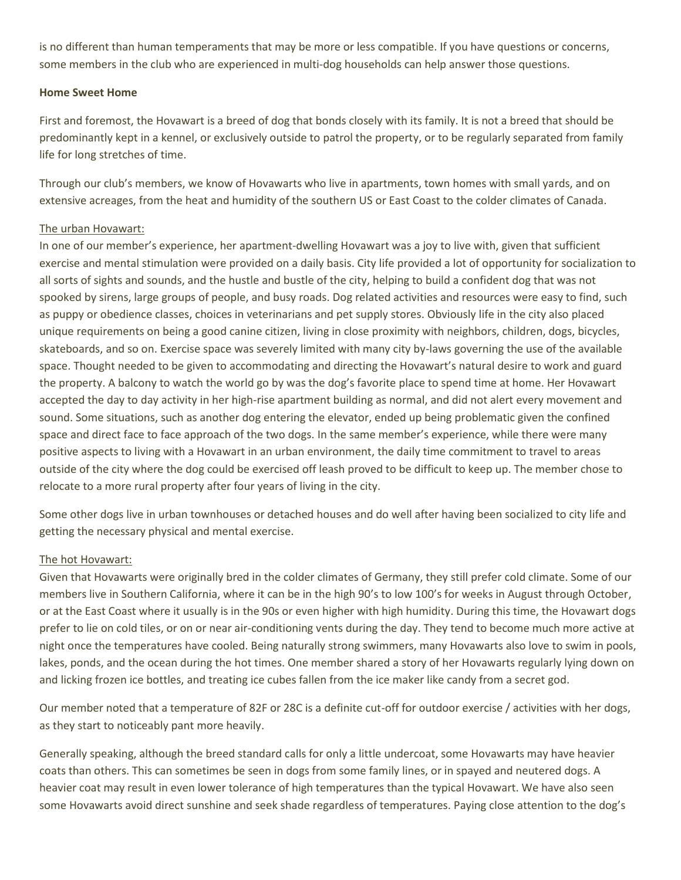is no different than human temperaments that may be more or less compatible. If you have questions or concerns, some members in the club who are experienced in multi-dog households can help answer those questions.

#### **Home Sweet Home**

First and foremost, the Hovawart is a breed of dog that bonds closely with its family. It is not a breed that should be predominantly kept in a kennel, or exclusively outside to patrol the property, or to be regularly separated from family life for long stretches of time.

Through our club's members, we know of Hovawarts who live in apartments, town homes with small yards, and on extensive acreages, from the heat and humidity of the southern US or East Coast to the colder climates of Canada.

### The urban Hovawart:

In one of our member's experience, her apartment-dwelling Hovawart was a joy to live with, given that sufficient exercise and mental stimulation were provided on a daily basis. City life provided a lot of opportunity for socialization to all sorts of sights and sounds, and the hustle and bustle of the city, helping to build a confident dog that was not spooked by sirens, large groups of people, and busy roads. Dog related activities and resources were easy to find, such as puppy or obedience classes, choices in veterinarians and pet supply stores. Obviously life in the city also placed unique requirements on being a good canine citizen, living in close proximity with neighbors, children, dogs, bicycles, skateboards, and so on. Exercise space was severely limited with many city by-laws governing the use of the available space. Thought needed to be given to accommodating and directing the Hovawart's natural desire to work and guard the property. A balcony to watch the world go by was the dog's favorite place to spend time at home. Her Hovawart accepted the day to day activity in her high-rise apartment building as normal, and did not alert every movement and sound. Some situations, such as another dog entering the elevator, ended up being problematic given the confined space and direct face to face approach of the two dogs. In the same member's experience, while there were many positive aspects to living with a Hovawart in an urban environment, the daily time commitment to travel to areas outside of the city where the dog could be exercised off leash proved to be difficult to keep up. The member chose to relocate to a more rural property after four years of living in the city.

Some other dogs live in urban townhouses or detached houses and do well after having been socialized to city life and getting the necessary physical and mental exercise.

### The hot Hovawart:

Given that Hovawarts were originally bred in the colder climates of Germany, they still prefer cold climate. Some of our members live in Southern California, where it can be in the high 90's to low 100's for weeks in August through October, or at the East Coast where it usually is in the 90s or even higher with high humidity. During this time, the Hovawart dogs prefer to lie on cold tiles, or on or near air-conditioning vents during the day. They tend to become much more active at night once the temperatures have cooled. Being naturally strong swimmers, many Hovawarts also love to swim in pools, lakes, ponds, and the ocean during the hot times. One member shared a story of her Hovawarts regularly lying down on and licking frozen ice bottles, and treating ice cubes fallen from the ice maker like candy from a secret god.

Our member noted that a temperature of 82F or 28C is a definite cut-off for outdoor exercise / activities with her dogs, as they start to noticeably pant more heavily.

Generally speaking, although the breed standard calls for only a little undercoat, some Hovawarts may have heavier coats than others. This can sometimes be seen in dogs from some family lines, or in spayed and neutered dogs. A heavier coat may result in even lower tolerance of high temperatures than the typical Hovawart. We have also seen some Hovawarts avoid direct sunshine and seek shade regardless of temperatures. Paying close attention to the dog's